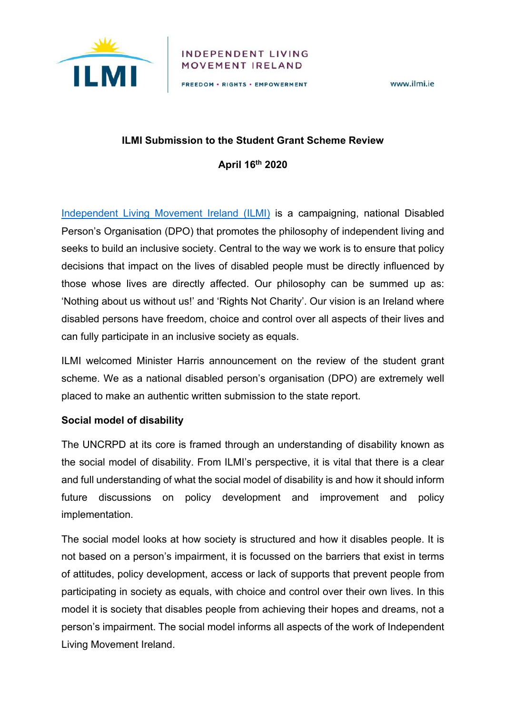

#### INDEPENDENT LIVING MOVEMENT IRELAND

FREEDOM · RIGHTS · EMPOWERMENT

www.ilmi.je

#### **ILMI Submission to the Student Grant Scheme Review**

**April 16th 2020**

Independent Living Movement Ireland (ILMI) is a campaigning, national Disabled Person's Organisation (DPO) that promotes the philosophy of independent living and seeks to build an inclusive society. Central to the way we work is to ensure that policy decisions that impact on the lives of disabled people must be directly influenced by those whose lives are directly affected. Our philosophy can be summed up as: 'Nothing about us without us!' and 'Rights Not Charity'. Our vision is an Ireland where disabled persons have freedom, choice and control over all aspects of their lives and can fully participate in an inclusive society as equals.

ILMI welcomed Minister Harris announcement on the review of the student grant scheme. We as a national disabled person's organisation (DPO) are extremely well placed to make an authentic written submission to the state report.

## **Social model of disability**

The UNCRPD at its core is framed through an understanding of disability known as the social model of disability. From ILMI's perspective, it is vital that there is a clear and full understanding of what the social model of disability is and how it should inform future discussions on policy development and improvement and policy implementation.

The social model looks at how society is structured and how it disables people. It is not based on a person's impairment, it is focussed on the barriers that exist in terms of attitudes, policy development, access or lack of supports that prevent people from participating in society as equals, with choice and control over their own lives. In this model it is society that disables people from achieving their hopes and dreams, not a person's impairment. The social model informs all aspects of the work of Independent Living Movement Ireland.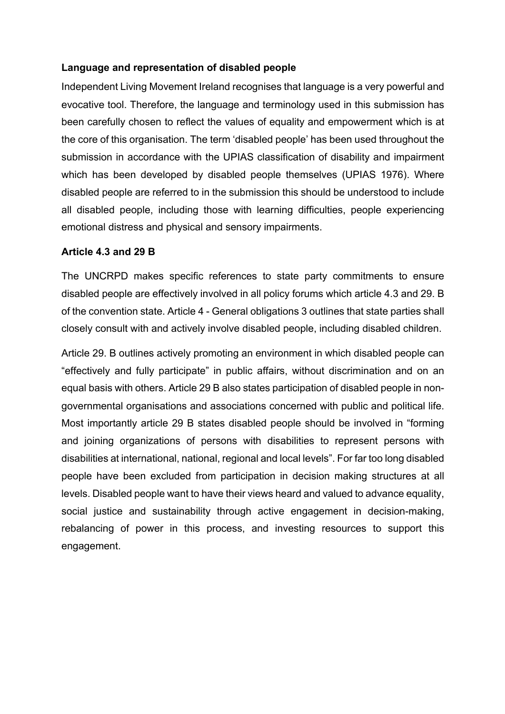# **Language and representation of disabled people**

Independent Living Movement Ireland recognises that language is a very powerful and evocative tool. Therefore, the language and terminology used in this submission has been carefully chosen to reflect the values of equality and empowerment which is at the core of this organisation. The term 'disabled people' has been used throughout the submission in accordance with the UPIAS classification of disability and impairment which has been developed by disabled people themselves (UPIAS 1976). Where disabled people are referred to in the submission this should be understood to include all disabled people, including those with learning difficulties, people experiencing emotional distress and physical and sensory impairments.

## **Article 4.3 and 29 B**

The UNCRPD makes specific references to state party commitments to ensure disabled people are effectively involved in all policy forums which article 4.3 and 29. B of the convention state. Article 4 - General obligations 3 outlines that state parties shall closely consult with and actively involve disabled people, including disabled children.

Article 29. B outlines actively promoting an environment in which disabled people can "effectively and fully participate" in public affairs, without discrimination and on an equal basis with others. Article 29 B also states participation of disabled people in nongovernmental organisations and associations concerned with public and political life. Most importantly article 29 B states disabled people should be involved in "forming and joining organizations of persons with disabilities to represent persons with disabilities at international, national, regional and local levels". For far too long disabled people have been excluded from participation in decision making structures at all levels. Disabled people want to have their views heard and valued to advance equality, social justice and sustainability through active engagement in decision-making, rebalancing of power in this process, and investing resources to support this engagement.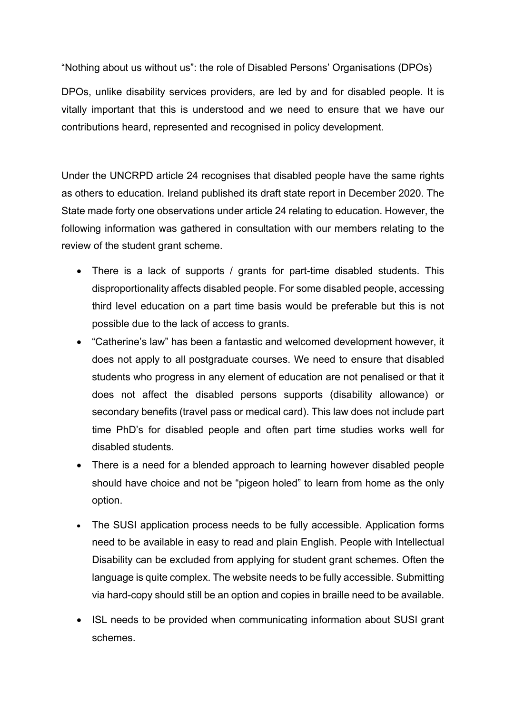"Nothing about us without us": the role of Disabled Persons' Organisations (DPOs)

DPOs, unlike disability services providers, are led by and for disabled people. It is vitally important that this is understood and we need to ensure that we have our contributions heard, represented and recognised in policy development.

Under the UNCRPD article 24 recognises that disabled people have the same rights as others to education. Ireland published its draft state report in December 2020. The State made forty one observations under article 24 relating to education. However, the following information was gathered in consultation with our members relating to the review of the student grant scheme.

- There is a lack of supports / grants for part-time disabled students. This disproportionality affects disabled people. For some disabled people, accessing third level education on a part time basis would be preferable but this is not possible due to the lack of access to grants.
- "Catherine's law" has been a fantastic and welcomed development however, it does not apply to all postgraduate courses. We need to ensure that disabled students who progress in any element of education are not penalised or that it does not affect the disabled persons supports (disability allowance) or secondary benefits (travel pass or medical card). This law does not include part time PhD's for disabled people and often part time studies works well for disabled students.
- There is a need for a blended approach to learning however disabled people should have choice and not be "pigeon holed" to learn from home as the only option.
- The SUSI application process needs to be fully accessible. Application forms need to be available in easy to read and plain English. People with Intellectual Disability can be excluded from applying for student grant schemes. Often the language is quite complex. The website needs to be fully accessible. Submitting via hard-copy should still be an option and copies in braille need to be available.
- ISL needs to be provided when communicating information about SUSI grant schemes.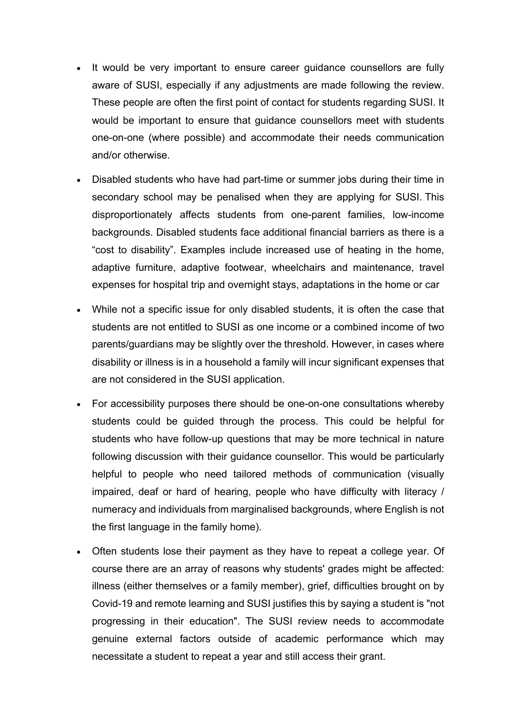- It would be very important to ensure career guidance counsellors are fully aware of SUSI, especially if any adjustments are made following the review. These people are often the first point of contact for students regarding SUSI. It would be important to ensure that guidance counsellors meet with students one-on-one (where possible) and accommodate their needs communication and/or otherwise.
- Disabled students who have had part-time or summer jobs during their time in secondary school may be penalised when they are applying for SUSI. This disproportionately affects students from one-parent families, low-income backgrounds. Disabled students face additional financial barriers as there is a "cost to disability". Examples include increased use of heating in the home, adaptive furniture, adaptive footwear, wheelchairs and maintenance, travel expenses for hospital trip and overnight stays, adaptations in the home or car
- While not a specific issue for only disabled students, it is often the case that students are not entitled to SUSI as one income or a combined income of two parents/guardians may be slightly over the threshold. However, in cases where disability or illness is in a household a family will incur significant expenses that are not considered in the SUSI application.
- For accessibility purposes there should be one-on-one consultations whereby students could be guided through the process. This could be helpful for students who have follow-up questions that may be more technical in nature following discussion with their guidance counsellor. This would be particularly helpful to people who need tailored methods of communication (visually impaired, deaf or hard of hearing, people who have difficulty with literacy / numeracy and individuals from marginalised backgrounds, where English is not the first language in the family home).
- Often students lose their payment as they have to repeat a college year. Of course there are an array of reasons why students' grades might be affected: illness (either themselves or a family member), grief, difficulties brought on by Covid-19 and remote learning and SUSI justifies this by saying a student is "not progressing in their education". The SUSI review needs to accommodate genuine external factors outside of academic performance which may necessitate a student to repeat a year and still access their grant.